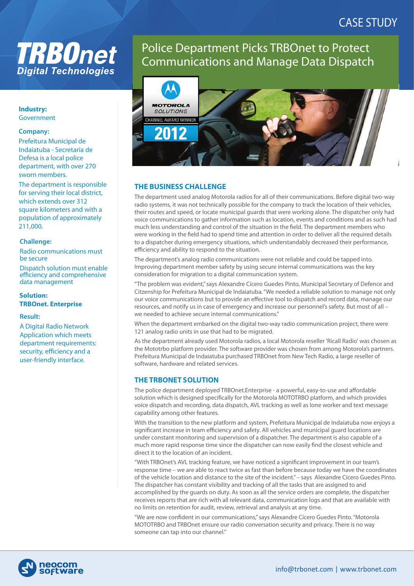# **TRB0net Digital Technologies**

#### **Industry:**  Government

#### **Company:**

Prefeitura Municipal de Indaiatuba - Secretaria de Defesa is a local police department, with over 270 sworn members.

The department is responsible for serving their local district, which extends over 312 square kilometers and with a population of approximately 211,000.

#### **Challenge:**

Radio communications must be secure

Dispatch solution must enable efficiency and comprehensive data management

### **Solution: TRBOnet. Enterprise**

#### **Result:**

A Digital Radio Network Application which meets department requirements: security, efficiency and a user-friendly interface.

# Police Department Picks TRBOnet to Protect Communications and Manage Data Dispatch



# **THE BUSINESS CHALLENGE**

The department used analog Motorola radios for all of their communications. Before digital two-way radio systems, it was not technically possible for the company to track the location of their vehicles, their routes and speed, or locate municipal guards that were working alone. The dispatcher only had voice communications to gather information such as location, events and conditions and as such had much less understanding and control of the situation in the field. The department members who were working in the field had to spend time and attention in order to deliver all the required details to a dispatcher during emergency situations, which understandably decreased their performance, efficiency and ability to respond to the situation.

The department's analog radio communications were not reliable and could be tapped into. Improving department member safety by using secure internal communications was the key consideration for migration to a digital communication system.

"The problem was evident," says Alexandre Cícero Guedes Pinto, Municipal Secretary of Defence and Citzenship for Prefeitura Municipal de Indaiatuba. "We needed a reliable solution to manage not only our voice communications but to provide an effective tool to dispatch and record data, manage our resources, and notify us in case of emergency and increase our personnel's safety. But most of all – we needed to achieve secure internal communications."

When the department embarked on the digital two-way radio communication project, there were 121 analog radio units in use that had to be migrated.

As the department already used Motorola radios, a local Motorola reseller 'Ricall Radio' was chosen as the Mototrbo platform provider. The software provider was chosen from among Motorola's partners. Prefeitura Municipal de Indaiatuba purchased TRBOnet from New Tech Radio, a large reseller of software, hardware and related services.

# **THE TRBONET SOLUTION**

The police department deployed TRBOnet.Enterprise - a powerful, easy-to-use and affordable solution which is designed specifically for the Motorola MOTOTRBO platform, and which provides voice dispatch and recording, data dispatch, AVL tracking as well as lone worker and text message capability among other features.

With the transition to the new platform and system, Prefeitura Municipal de Indaiatuba now enjoys a significant increase in team efficiency and safety. All vehicles and municipal guard locations are under constant monitoring and supervision of a dispatcher. The department is also capable of a much more rapid response time since the dispatcher can now easily find the closest vehicle and direct it to the location of an incident.

"With TRBOnet's AVL tracking feature, we have noticed a significant improvement in our team's response time – we are able to react twice as fast than before because today we have the coordinates of the vehicle location and distance to the site of the incident." – says Alexandre Cícero Guedes Pinto. The dispatcher has constant visibility and tracking of all the tasks that are assigned to and accomplished by the guards on duty. As soon as all the service orders are complete, the dispatcher receives reports that are rich with all relevant data, communication logs and that are available with no limits on retention for audit, review, retrieval and analysis at any time.

"We are now condent in our communications," says Alexandre Cícero Guedes Pinto. "Motorola MOTOTRBO and TRBOnet ensure our radio conversation security and privacy. There is no way someone can tap into our channel."